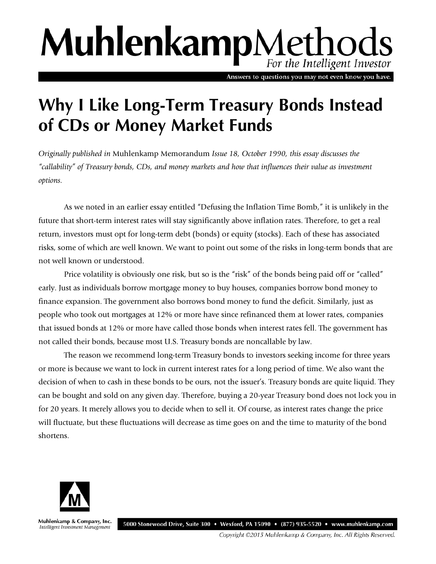## MuhlenkampMethods For the Intelligent Investor

Answers to questions you may not even know you have.

## **Why I Like Long-Term Treasury Bonds Instead of CDs or Money Market Funds**

*Originally published in* Muhlenkamp Memorandum *Issue 18, October 1990, this essay discusses the "callability" of Treasury bonds, CDs, and money markets and how that influences their value as investment options.* 

As we noted in an earlier essay entitled "Defusing the Inflation Time Bomb," it is unlikely in the future that short-term interest rates will stay significantly above inflation rates. Therefore, to get a real return, investors must opt for long-term debt (bonds) or equity (stocks). Each of these has associated risks, some of which are well known. We want to point out some of the risks in long-term bonds that are not well known or understood.

Price volatility is obviously one risk, but so is the "risk" of the bonds being paid off or "called" early. Just as individuals borrow mortgage money to buy houses, companies borrow bond money to finance expansion. The government also borrows bond money to fund the deficit. Similarly, just as people who took out mortgages at 12% or more have since refinanced them at lower rates, companies that issued bonds at 12% or more have called those bonds when interest rates fell. The government has not called their bonds, because most U.S. Treasury bonds are noncallable by law.

The reason we recommend long-term Treasury bonds to investors seeking income for three years or more is because we want to lock in current interest rates for a long period of time. We also want the decision of when to cash in these bonds to be ours, not the issuer's. Treasury bonds are quite liquid. They can be bought and sold on any given day. Therefore, buying a 20-year Treasury bond does not lock you in for 20 years. It merely allows you to decide when to sell it. Of course, as interest rates change the price will fluctuate, but these fluctuations will decrease as time goes on and the time to maturity of the bond shortens.



Muhlenkamp & Company, Inc. Intelligent Investment Management

5000 Stonewood Drive, Suite 300 • Wexford, PA 15090 • (877) 935-5520 • www.muhlenkamp.com

Copyright ©2015 Muhlenkamp & Company, Inc. All Rights Reserved.